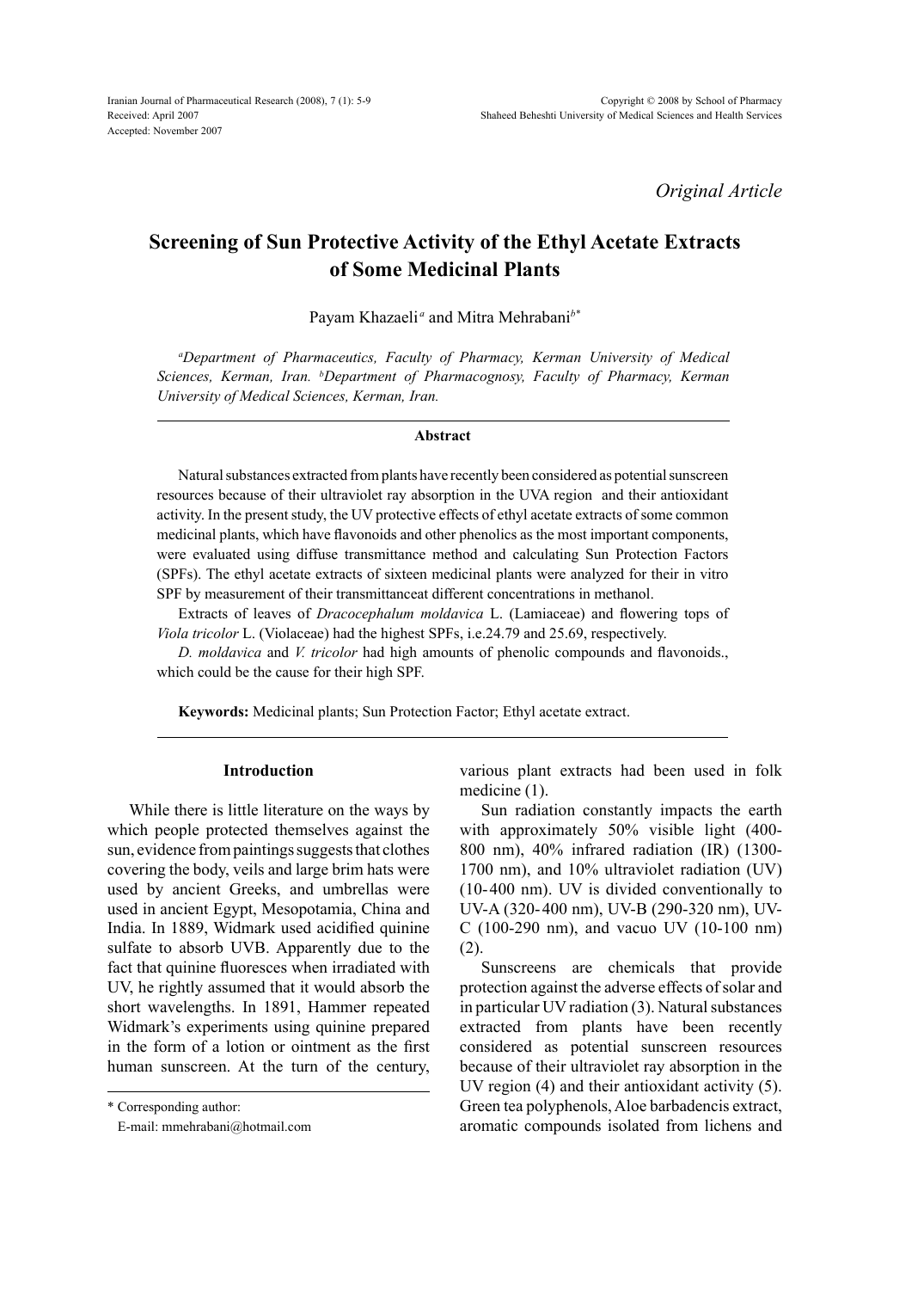*Original Article*

# **Screening of Sun Protective Activity of the Ethyl Acetate Extracts of Some Medicinal Plants**

Payam Khazaeli<sup>a</sup> and Mitra Mehrabani<sup>b\*</sup>

*a Department of Pharmaceutics, Faculty of Pharmacy, Kerman University of Medical Sciences, Kerman, Iran. b Department of Pharmacognosy, Faculty of Pharmacy, Kerman University of Medical Sciences, Kerman, Iran.*

#### **Abstract**

Natural substances extracted from plants have recently been considered as potential sunscreen resources because of their ultraviolet ray absorption in the UVA region and their antioxidant activity. In the present study, the UV protective effects of ethyl acetate extracts of some common medicinal plants, which have flavonoids and other phenolics as the most important components, were evaluated using diffuse transmittance method and calculating Sun Protection Factors (SPFs). The ethyl acetate extracts of sixteen medicinal plants were analyzed for their in vitro SPF by measurement of their transmittanceat different concentrations in methanol.

Extracts of leaves of *Dracocephalum moldavica* L. (Lamiaceae) and flowering tops of *Viola tricolor* L. (Violaceae) had the highest SPFs, i.e.24.79 and 25.69, respectively.

*D. moldavica* and *V. tricolor* had high amounts of phenolic compounds and flavonoids., which could be the cause for their high SPF.

**Keywords:** Medicinal plants; Sun Protection Factor; Ethyl acetate extract.

## **Introduction**

While there is little literature on the ways by which people protected themselves against the sun, evidence from paintings suggests that clothes covering the body, veils and large brim hats were used by ancient Greeks, and umbrellas were used in ancient Egypt, Mesopotamia, China and India. In 1889, Widmark used acidified quinine sulfate to absorb UVB. Apparently due to the fact that quinine fluoresces when irradiated with UV, he rightly assumed that it would absorb the short wavelengths. In 1891, Hammer repeated Widmark's experiments using quinine prepared in the form of a lotion or ointment as the first human sunscreen. At the turn of the century,

\* Corresponding author:

E-mail: mmehrabani@hotmail.com

various plant extracts had been used in folk medicine (1).

Sun radiation constantly impacts the earth with approximately 50% visible light (400- 800 nm), 40% infrared radiation (IR) (1300- 1700 nm), and 10% ultraviolet radiation (UV) (10-400 nm). UV is divided conventionally to UV-A (320-400 nm), UV-B (290-320 nm), UV-C (100-290 nm), and vacuo UV (10-100 nm) (2).

Sunscreens are chemicals that provide protection against the adverse effects of solar and in particular UV radiation (3). Natural substances extracted from plants have been recently considered as potential sunscreen resources because of their ultraviolet ray absorption in the UV region (4) and their antioxidant activity (5). Green tea polyphenols, Aloe barbadencis extract, aromatic compounds isolated from lichens and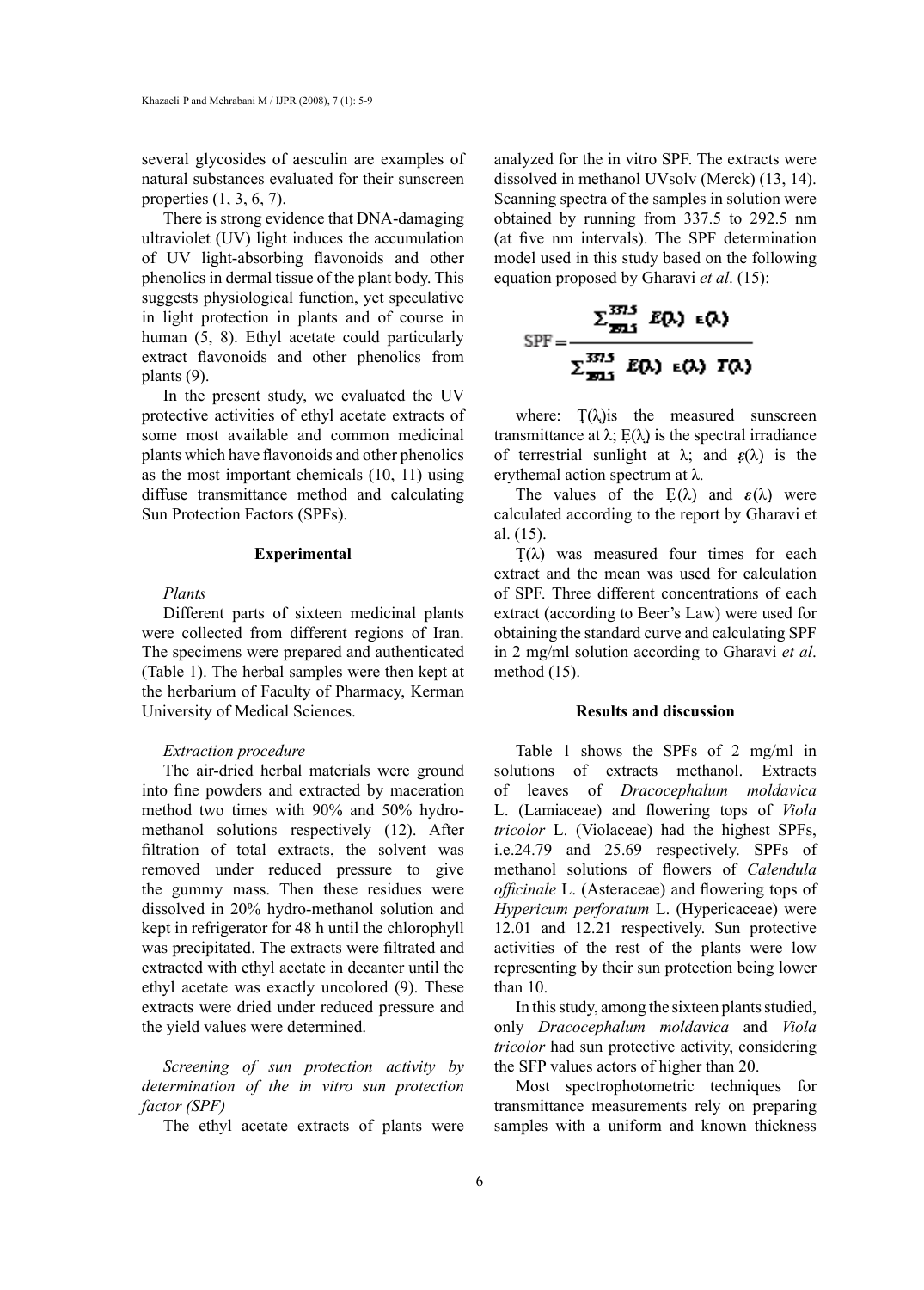several glycosides of aesculin are examples of natural substances evaluated for their sunscreen properties (1, 3, 6, 7).

There is strong evidence that DNA-damaging ultraviolet (UV) light induces the accumulation of UV light-absorbing flavonoids and other phenolics in dermal tissue of the plant body. This suggests physiological function, yet speculative in light protection in plants and of course in human (5, 8). Ethyl acetate could particularly extract flavonoids and other phenolics from plants (9).

In the present study, we evaluated the UV protective activities of ethyl acetate extracts of some most available and common medicinal plants which have flavonoids and other phenolics as the most important chemicals (10, 11) using diffuse transmittance method and calculating Sun Protection Factors (SPFs).

#### **Experimental**

# *Plants*

Different parts of sixteen medicinal plants were collected from different regions of Iran. The specimens were prepared and authenticated (Table 1). The herbal samples were then kept at the herbarium of Faculty of Pharmacy, Kerman University of Medical Sciences.

## *Extraction procedure*

The air-dried herbal materials were ground into fine powders and extracted by maceration method two times with 90% and 50% hydromethanol solutions respectively (12). After filtration of total extracts, the solvent was removed under reduced pressure to give the gummy mass. Then these residues were dissolved in 20% hydro-methanol solution and kept in refrigerator for 48 h until the chlorophyll was precipitated. The extracts were filtrated and extracted with ethyl acetate in decanter until the ethyl acetate was exactly uncolored (9). These extracts were dried under reduced pressure and the yield values were determined.

*Screening of sun protection activity by determination of the in vitro sun protection factor (SPF)*

The ethyl acetate extracts of plants were

analyzed for the in vitro SPF. The extracts were dissolved in methanol UVsolv (Merck) (13, 14). Scanning spectra of the samples in solution were obtained by running from 337.5 to 292.5 nm (at five nm intervals). The SPF determination model used in this study based on the following equation proposed by Gharavi *et al*. (15):

$$
SPF = \frac{\sum_{\mathbf{E} \in \mathcal{S}}^{3713} E(\lambda) \epsilon(\lambda)}{\sum_{\mathbf{E} \in \mathcal{S}}^{3713} E(\lambda) \epsilon(\lambda) \Gamma(\lambda)}
$$

 $=$ 

where:  $T(\lambda)$  is the measured sunscreen transmittance at  $\lambda$ ; E( $\lambda$ ) is the spectral irradiance of terrestrial sunlight at λ; and *ε*(λ) is the erythemal action spectrum at λ.

The values of the  $E(\lambda)$  and  $\varepsilon(\lambda)$  were calculated according to the report by Gharavi et al. (15).

 $T(\lambda)$  was measured four times for each extract and the mean was used for calculation of SPF. Three different concentrations of each extract (according to Beer's Law) were used for obtaining the standard curve and calculating SPF in 2 mg/ml solution according to Gharavi *et al*. method (15).

# **Results and discussion**

Table 1 shows the SPFs of 2 mg/ml in solutions of extracts methanol. Extracts of leaves of *Dracocephalum moldavica* L. (Lamiaceae) and flowering tops of *Viola tricolor* L. (Violaceae) had the highest SPFs, i.e.24.79 and 25.69 respectively. SPFs of methanol solutions of flowers of *Calendula officinale* L. (Asteraceae) and flowering tops of *Hypericum perforatum* L. (Hypericaceae) were 12.01 and 12.21 respectively. Sun protective activities of the rest of the plants were low representing by their sun protection being lower than 10.

In this study, among the sixteen plants studied, only *Dracocephalum moldavica* and *Viola tricolor* had sun protective activity, considering the SFP values actors of higher than 20.

Most spectrophotometric techniques for transmittance measurements rely on preparing samples with a uniform and known thickness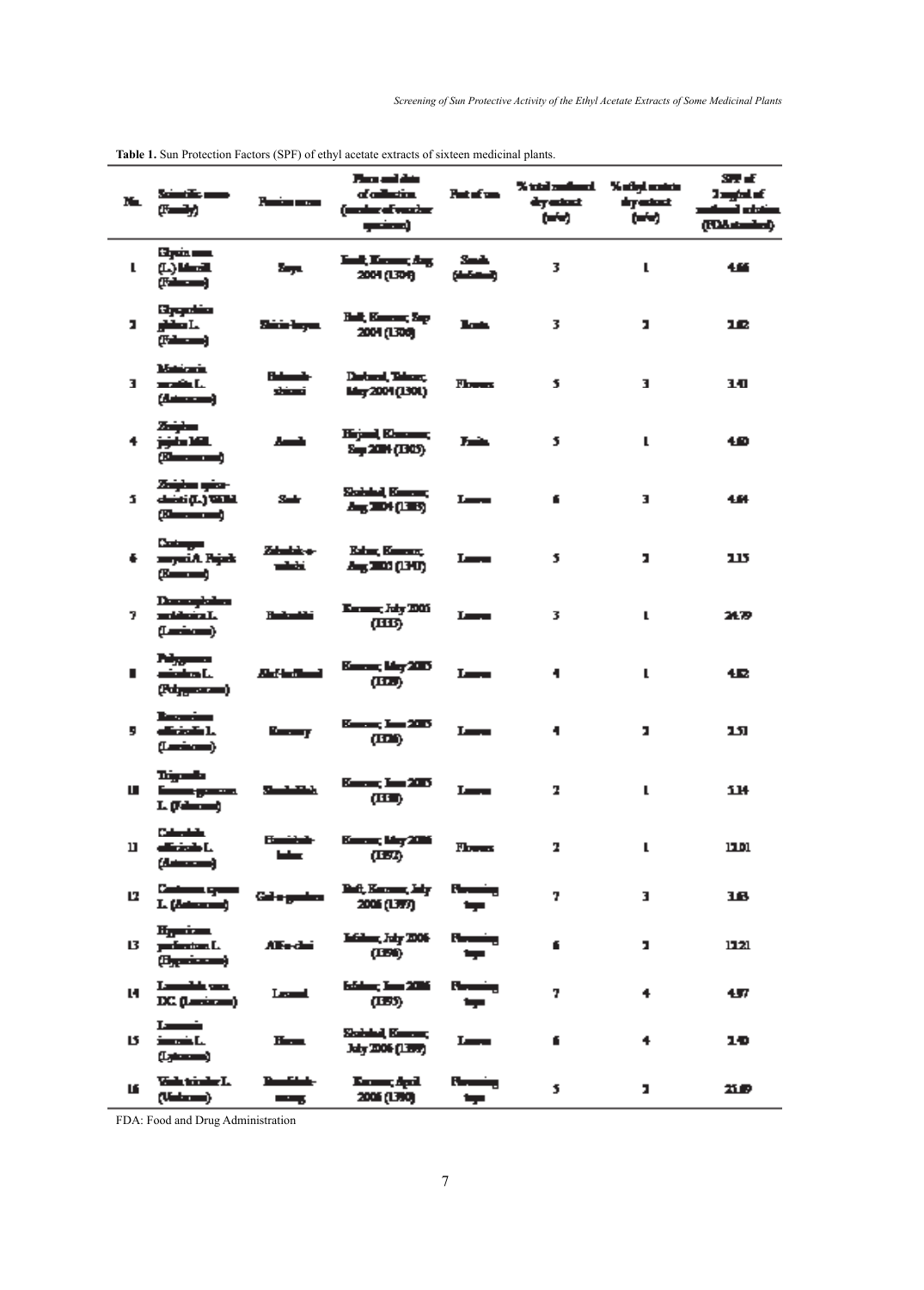| N. | tan di ma<br>زراسی ب                                                       | Panisa men                 | من لم ميل<br>of collection.<br>(moder of venture<br>وسخمير | Patricipa          | % total numbered.  % official numbers<br>dry estant<br>ومنسخ | dry actual:<br>ومنسخ | 87 E<br>2 mytat af<br>ويشارح أوساس<br>(Industrial Off |
|----|----------------------------------------------------------------------------|----------------------------|------------------------------------------------------------|--------------------|--------------------------------------------------------------|----------------------|-------------------------------------------------------|
| L  | Eigen war<br>$(1)$ Musik<br>وسطي                                           | Zер.                       | <b>East, Excess, Ang.</b><br>2004 (1304)                   | Smith<br>واستعلاله | 3                                                            | L                    | 466                                                   |
| п  | Sygnics<br>ghilan I.a<br>$(T-1)$                                           | Shirin-Import              | Hall, Kamara, Sap<br>2004 (1308)                           | lat.               | 3                                                            | х                    | 12                                                    |
| 3. | Matematic<br>anadin I.<br>(استحضار)                                        | - المسلم 1<br>تسنت         | <b>Destaural, Telesco,</b><br>May 2004 (1301)              | <b>Florence</b>    | 5                                                            | т                    | 10                                                    |
| 4. | سنرتظ<br>الألاد دأخرخ<br>(Kamanana)                                        | فساء                       | Krjed, Kanaas,<br>Sep 2004 (1305)                          | Tair               | 5                                                            | L                    | 40                                                    |
| J. | Zaighas spice-<br>الاتلا (الأفضاء<br>(Change and )                         | Sale                       | Stabilished, Kamarong<br>$\Delta_{\rm H}$ and $(1.15)$     | Lara               | £                                                            | з                    | 4.64                                                  |
| €. | سيستعد<br>mayari A. Pajada<br>$T = -1$                                     | Zabadzie o-<br>فاشت        | Kabus, Kamana,<br>Aug 2000 (1911)                          | Les a              | 5                                                            | л                    | 115                                                   |
| 7. | Demographic<br>mataharin I.<br>$(1 - 2 - 1)$                               | فانساط                     | Karaman, July 2005<br>(साऊ)                                | Lura               | 3                                                            | L                    | 21.B                                                  |
| ∎  | مسربرات<br>عاديات والمشرب<br>$(34)$ and $(34)$                             | استانها اینا،              | كالقرطا يسمعا<br>(III)                                     | Lucu               | 4                                                            | L                    | 仮                                                     |
| 5  | <u> Bassarium </u><br>district L<br>$(1 - 2 - 1)$                          | Para ay                    | Kamar, Inn 2007<br>$(\mathbf{m})$                          | Les a              | 4                                                            | ı                    | 151                                                   |
| ш  | طسرينا<br>والمسرج فسنتأ<br>L (falsam)                                      | <b>Sheet Address</b>       | Kanan, Kan 2007<br>(III)                                   | Lura.              | 2                                                            | L                    | 114                                                   |
| ш  | <b>Colombia</b><br>district L<br>(استحقا)                                  | <b>Family Ma</b><br>وطما   | Kuras, Mış 2016<br>(137)                                   | II van de          | 2                                                            | L                    | 11.01                                                 |
| u  | السدرج المستنسة<br>L (Astronom)                                            | Gallegation                | Beft, Karoma, July<br>2006 (1977)                          | وشسطا<br>دردا      | 7                                                            | з                    | 16                                                    |
| 13 | H <sub>i</sub> mian<br>perfection. L.<br>$(B_{\text{re}} + B_{\text{re}})$ | Alfo-dai                   | Lither, July 2006<br>(LEI)                                 | يضمينا<br>دردا     | 6.                                                           | х                    | 1721                                                  |
| и  | Lamphin was<br>DC (Lesianes)                                               | Leanal,                    | الكاترسيل يستفير<br>(LES)                                  | يضدن<br>دبد        | 7                                                            | 4                    | 457                                                   |
| 15 | Landinin<br>imania I.a<br>(سمعية)                                          | Here is a projection       | Shahabad, Kameran,<br>July 2006 (1399)                     | Lura.              | 6                                                            | 4                    | 10                                                    |
| LE | Valution of L<br>$(U = -1)$                                                | <u> Den Globe</u><br>وستعد | Koma, Apil<br>2006 (1790)                                  | وفسطا<br>والبرداد  | 5                                                            | ı,                   | mв                                                    |

# **Table 1.** Sun Protection Factors (SPF) of ethyl acetate extracts of sixteen medicinal plants.

FDA: Food and Drug Administration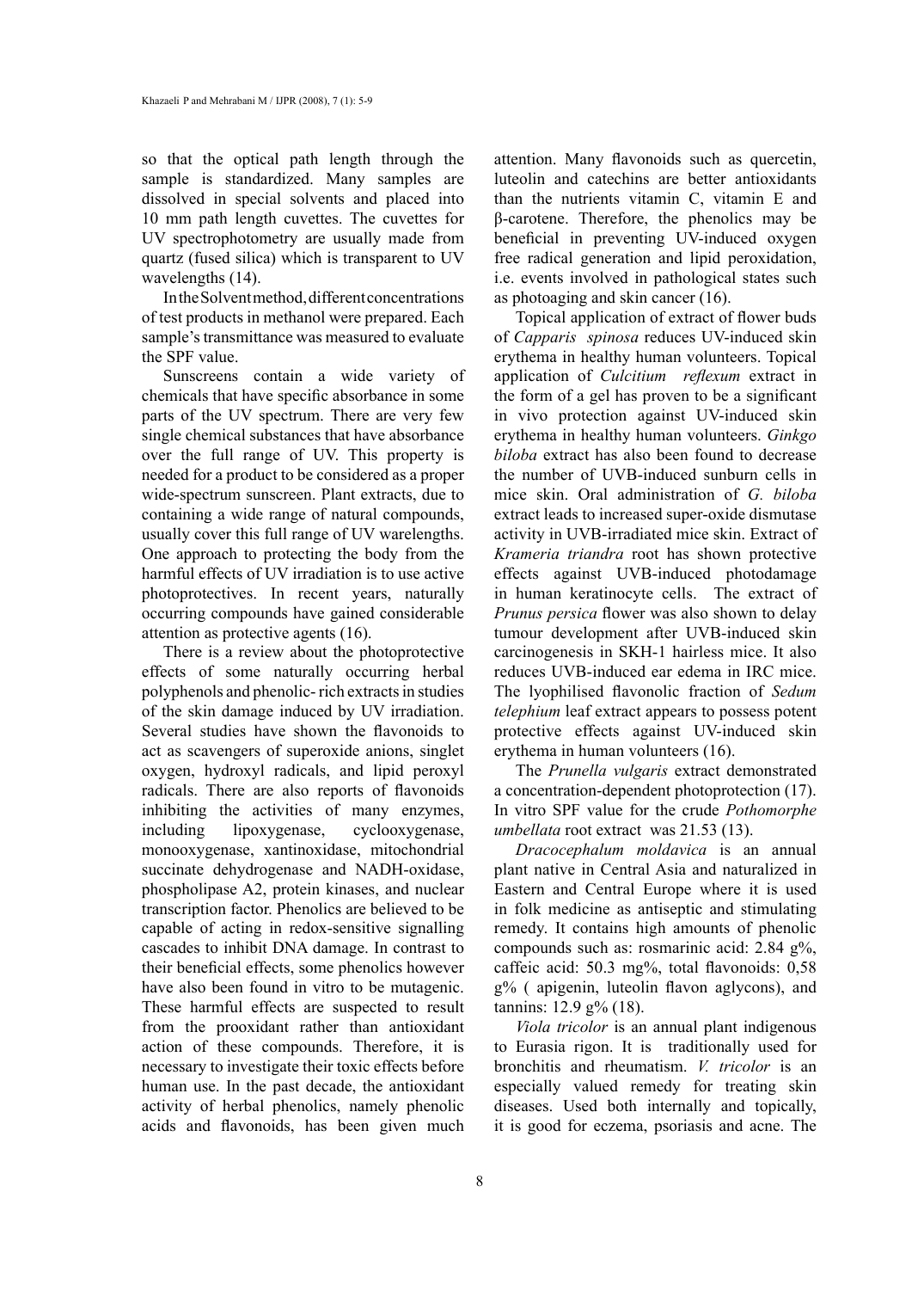so that the optical path length through the sample is standardized. Many samples are dissolved in special solvents and placed into 10 mm path length cuvettes. The cuvettes for UV spectrophotometry are usually made from quartz (fused silica) which is transparent to UV wavelengths (14).

In the Solvent method, different concentrations of test products in methanol were prepared. Each sample's transmittance was measured to evaluate the SPF value.

Sunscreens contain a wide variety of chemicals that have specific absorbance in some parts of the UV spectrum. There are very few single chemical substances that have absorbance over the full range of UV. This property is needed for a product to be considered as a proper wide-spectrum sunscreen. Plant extracts, due to containing a wide range of natural compounds, usually cover this full range of UV warelengths. One approach to protecting the body from the harmful effects of UV irradiation is to use active photoprotectives. In recent years, naturally occurring compounds have gained considerable attention as protective agents (16).

There is a review about the photoprotective effects of some naturally occurring herbal polyphenols and phenolic- rich extracts in studies of the skin damage induced by UV irradiation. Several studies have shown the flavonoids to act as scavengers of superoxide anions, singlet oxygen, hydroxyl radicals, and lipid peroxyl radicals. There are also reports of flavonoids inhibiting the activities of many enzymes, including lipoxygenase, cyclooxygenase, monooxygenase, xantinoxidase, mitochondrial succinate dehydrogenase and NADH-oxidase, phospholipase A2, protein kinases, and nuclear transcription factor. Phenolics are believed to be capable of acting in redox-sensitive signalling cascades to inhibit DNA damage. In contrast to their beneficial effects, some phenolics however have also been found in vitro to be mutagenic. These harmful effects are suspected to result from the prooxidant rather than antioxidant action of these compounds. Therefore, it is necessary to investigate their toxic effects before human use. In the past decade, the antioxidant activity of herbal phenolics, namely phenolic acids and flavonoids, has been given much attention. Many flavonoids such as quercetin, luteolin and catechins are better antioxidants than the nutrients vitamin C, vitamin E and β-carotene. Therefore, the phenolics may be beneficial in preventing UV-induced oxygen free radical generation and lipid peroxidation, i.e. events involved in pathological states such as photoaging and skin cancer (16).

Topical application of extract of flower buds of *Capparis spinosa* reduces UV-induced skin erythema in healthy human volunteers. Topical application of *Culcitium reflexum* extract in the form of a gel has proven to be a significant in vivo protection against UV-induced skin erythema in healthy human volunteers. *Ginkgo biloba* extract has also been found to decrease the number of UVB-induced sunburn cells in mice skin. Oral administration of *G. biloba*  extract leads to increased super-oxide dismutase activity in UVB-irradiated mice skin. Extract of *Krameria triandra* root has shown protective effects against UVB-induced photodamage in human keratinocyte cells. The extract of *Prunus persica* flower was also shown to delay tumour development after UVB-induced skin carcinogenesis in SKH-1 hairless mice. It also reduces UVB-induced ear edema in IRC mice. The lyophilised flavonolic fraction of *Sedum telephium* leaf extract appears to possess potent protective effects against UV-induced skin erythema in human volunteers (16).

The *Prunella vulgaris* extract demonstrated a concentration-dependent photoprotection (17). In vitro SPF value for the crude *Pothomorphe umbellata* root extract was 21.53 (13).

*Dracocephalum moldavica* is an annual plant native in Central Asia and naturalized in Eastern and Central Europe where it is used in folk medicine as antiseptic and stimulating remedy. It contains high amounts of phenolic compounds such as: rosmarinic acid: 2.84 g%, caffeic acid: 50.3 mg%, total flavonoids: 0,58 g% ( apigenin, luteolin flavon aglycons), and tannins: 12.9 g% (18).

*Viola tricolor* is an annual plant indigenous to Eurasia rigon. It is traditionally used for bronchitis and rheumatism. *V. tricolor* is an especially valued remedy for treating skin diseases. Used both internally and topically, it is good for eczema, psoriasis and acne. The